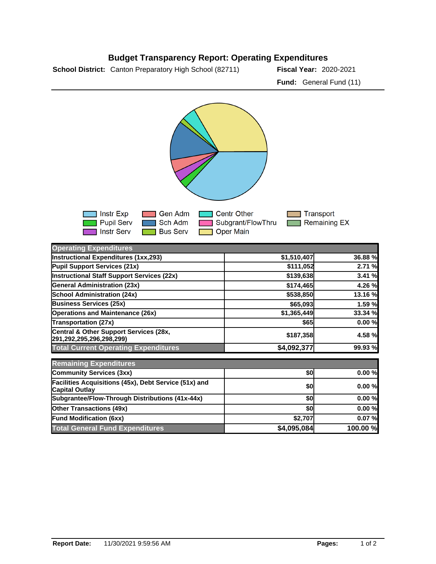## **School District:** Canton Preparatory High School (82711) **Fiscal Year:** 2020-2021 **Budget Transparency Report: Operating Expenditures Fund:** General Fund (11)

Gen Adm Centr Other  $\Box$  Transport Instr Exp **Pupil Serv** Sch Adm Subgrant/FlowThru Remaining EX Oper Main Instr Serv **Bus Serv Operating Expenditures Instructional Expenditures (1xx,293) \$1,510,407 36.88 % Pupil Support Services (21x) 12.71 % \$111,052 2.71 % Instructional Staff Support Services (22x) 120 <b>120 120 139**,638 **5139,638** 3.41 % **General Administration (23x) \$174,465 4.26 % School Administration (24x) \$538,850 13.16 % Business Services (25x) 65,093 1.59 % Operations and Maintenance (26x) \$1,365,449 33.34 % Transportation (27x)** \$65 0.00 % **Central & Other Support Services (28x, 291,292,295,296,298,299) \$187,358 4.58 % Total Current Operating Expenditures 199.93 % \$4,092,377 99.93 %** 

| <b>Remaining Expenditures</b>                                                  |             |           |
|--------------------------------------------------------------------------------|-------------|-----------|
| <b>Community Services (3xx)</b>                                                | \$OI        | $0.00 \%$ |
| Facilities Acquisitions (45x), Debt Service (51x) and<br><b>Capital Outlay</b> | \$0         | 0.00%     |
| Subgrantee/Flow-Through Distributions (41x-44x)                                | \$0         | 0.00%     |
| <b>Other Transactions (49x)</b>                                                | \$0         | 0.00%     |
| <b>Fund Modification (6xx)</b>                                                 | \$2,707     | 0.07%     |
| <b>Total General Fund Expenditures</b>                                         | \$4,095,084 | 100.00 %  |